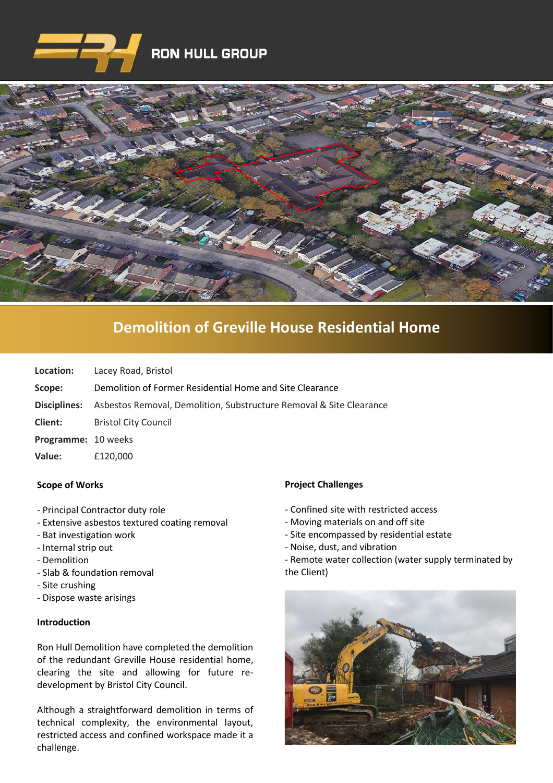



# **[Demolition of Greville House Residential Home](https://www.google.co.uk/imgres?imgurl=http%3A%2F%2Fwww.clenergy.co.uk%2FImageGen.ashx%3Fimage%3D%2Fmedia%2F1044%2Fcredit-solutia-2009-looking-south-4mb.jpg%26width%3D568%26height%3D320&imgrefurl=http%3A%2F%2Fwww.clenergy.co.uk%2Fprojects%2Fsolutia%2F&docid=l4QIaOP_OnRHZM&tbnid=A2rf481aMiEi8M%3A&vet=10ahUKEwie4JWq6srkAhX6SxUIHaTaDYwQMwg_KAEwAQ..i&w=568&h=320&bih=575&biw=1280&q=eastman%20chemical%20plant%20newport%20wales&ved=0ahUKEwie4JWq6srkAhX6SxUIHaTaDYwQMwg_KAEwAQ&iact=mrc&uact=8)**

| Location:                  | Lacey Road, Bristol                                                                     |
|----------------------------|-----------------------------------------------------------------------------------------|
| Scope:                     | Demolition of Former Residential Home and Site Clearance                                |
|                            | <b>Disciplines:</b> Asbestos Removal, Demolition, Substructure Removal & Site Clearance |
| <b>Client:</b>             | <b>Bristol City Council</b>                                                             |
| <b>Programme: 10 weeks</b> |                                                                                         |
| Value:                     | £120,000                                                                                |

### **Scope of Works**

- Principal Contractor duty role
- Extensive asbestos textured coating removal
- Bat investigation work
- Internal strip out
- Demolition
- Slab & foundation removal
- Site crushing
- Dispose waste arisings

### **Introduction**

Ron Hull Demolition have completed the demolition of the redundant Greville House residential home, clearing the site and allowing for future redevelopment by Bristol City Council.

Although a straightforward demolition in terms of technical complexity, the environmental layout, restricted access and confined workspace made it a challenge.

### **Project Challenges**

- Confined site with restricted access
- Moving materials on and off site
- Site encompassed by residential estate
- Noise, dust, and vibration
- Remote water collection (water supply terminated by the Client)